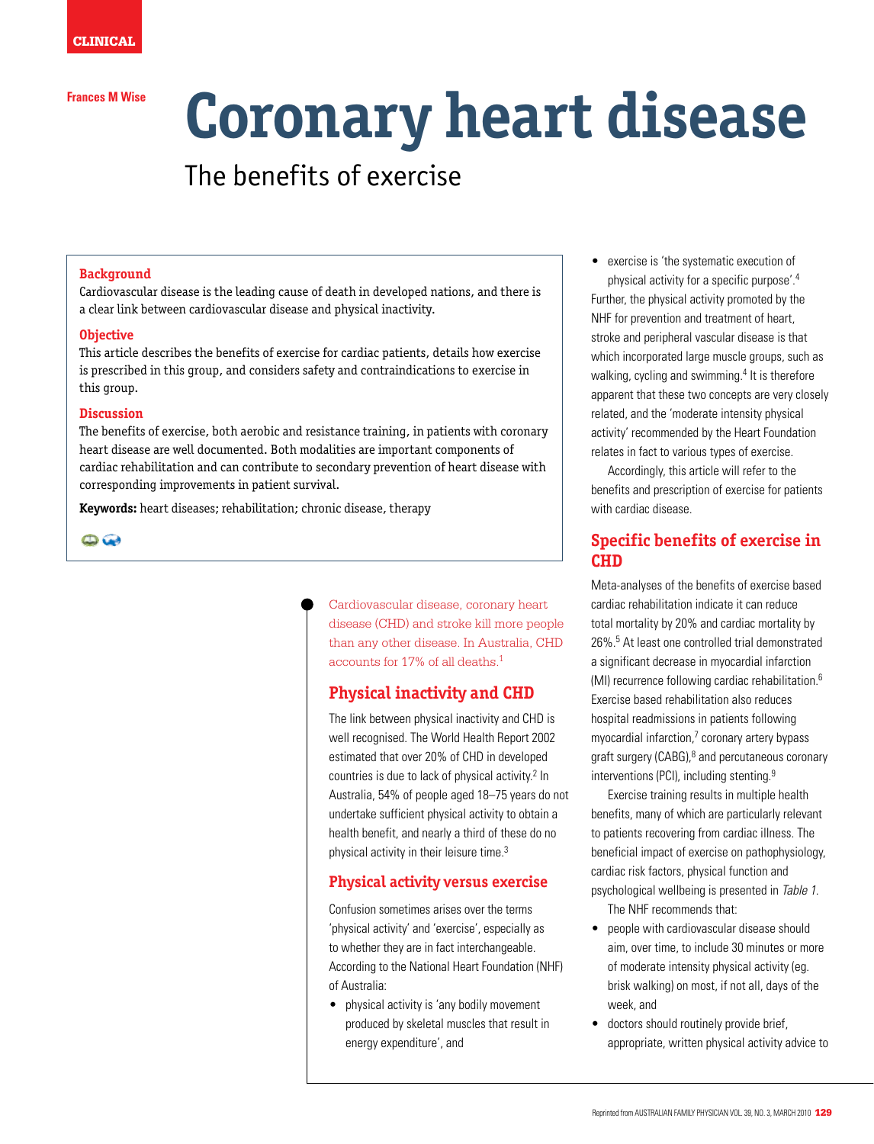#### **Frances M Wise**

# **Coronary heart disease**

# The benefits of exercise

#### **Background**

Cardiovascular disease is the leading cause of death in developed nations, and there is a clear link between cardiovascular disease and physical inactivity.

#### **Objective**

This article describes the benefits of exercise for cardiac patients, details how exercise is prescribed in this group, and considers safety and contraindications to exercise in this group.

# **Discussion**

The benefits of exercise, both aerobic and resistance training, in patients with coronary heart disease are well documented. Both modalities are important components of cardiac rehabilitation and can contribute to secondary prevention of heart disease with corresponding improvements in patient survival.

**Keywords:** heart diseases; rehabilitation; chronic disease, therapy

 $\bigcirc$ 

Cardiovascular disease, coronary heart disease (CHD) and stroke kill more people than any other disease. In Australia, CHD accounts for 17% of all deaths.1

# **Physical inactivity and CHD**

The link between physical inactivity and CHD is well recognised. The World Health Report 2002 estimated that over 20% of CHD in developed countries is due to lack of physical activity.<sup>2</sup> In Australia, 54% of people aged 18–75 years do not undertake sufficient physical activity to obtain a health benefit, and nearly a third of these do no physical activity in their leisure time.<sup>3</sup>

# **Physical activity versus exercise**

Confusion sometimes arises over the terms 'physical activity' and 'exercise', especially as to whether they are in fact interchangeable. According to the National Heart Foundation (NHF) of Australia:

• physical activity is 'any bodily movement produced by skeletal muscles that result in energy expenditure', and

• exercise is 'the systematic execution of physical activity for a specific purpose'.4 Further, the physical activity promoted by the NHF for prevention and treatment of heart, stroke and peripheral vascular disease is that which incorporated large muscle groups, such as walking, cycling and swimming.<sup>4</sup> It is therefore apparent that these two concepts are very closely related, and the 'moderate intensity physical activity' recommended by the Heart Foundation relates in fact to various types of exercise.

Accordingly, this article will refer to the benefits and prescription of exercise for patients with cardiac disease.

# **Specific benefits of exercise in CHD**

Meta-analyses of the benefits of exercise based cardiac rehabilitation indicate it can reduce total mortality by 20% and cardiac mortality by 26%.5 At least one controlled trial demonstrated a significant decrease in myocardial infarction (MI) recurrence following cardiac rehabilitation.6 Exercise based rehabilitation also reduces hospital readmissions in patients following myocardial infarction,<sup>7</sup> coronary artery bypass graft surgery (CABG),<sup>8</sup> and percutaneous coronary interventions (PCI), including stenting.<sup>9</sup>

Exercise training results in multiple health benefits, many of which are particularly relevant to patients recovering from cardiac illness. The beneficial impact of exercise on pathophysiology, cardiac risk factors, physical function and psychological wellbeing is presented in Table 1. The NHF recommends that:

- people with cardiovascular disease should aim, over time, to include 30 minutes or more of moderate intensity physical activity (eg. brisk walking) on most, if not all, days of the week, and
- doctors should routinely provide brief, appropriate, written physical activity advice to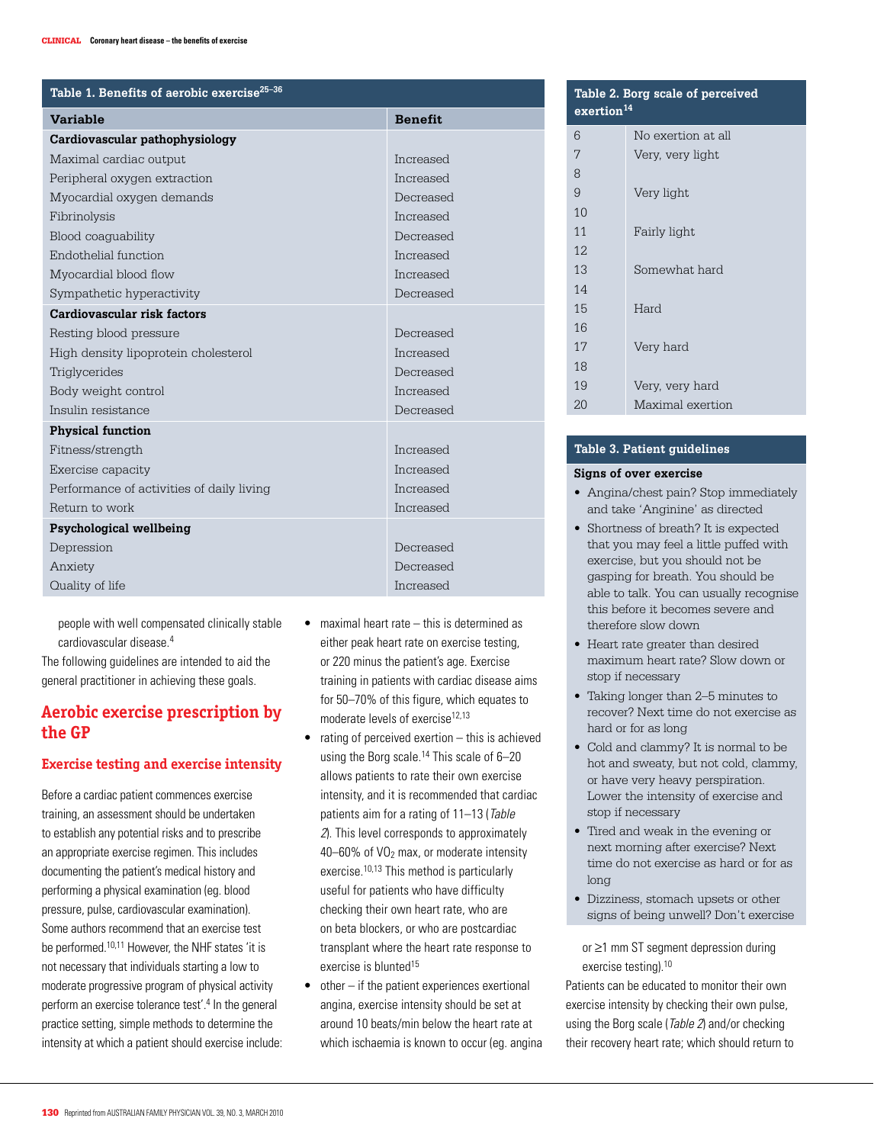| Table 1. Benefits of aerobic exercise <sup>25-36</sup> |                |  |
|--------------------------------------------------------|----------------|--|
| <b>Variable</b>                                        | <b>Benefit</b> |  |
| Cardiovascular pathophysiology                         |                |  |
| Maximal cardiac output                                 | Increased      |  |
| Peripheral oxygen extraction                           | Increased      |  |
| Myocardial oxygen demands                              | Decreased      |  |
| Fibrinolysis                                           | Increased      |  |
| Blood coaquability                                     | Decreased      |  |
| Endothelial function                                   | Increased      |  |
| Myocardial blood flow                                  | Increased      |  |
| Sympathetic hyperactivity                              | Decreased      |  |
| Cardiovascular risk factors                            |                |  |
| Resting blood pressure                                 | Decreased      |  |
| High density lipoprotein cholesterol                   | Increased      |  |
| Triglycerides                                          | Decreased      |  |
| Body weight control                                    | Increased      |  |
| Insulin resistance                                     | Decreased      |  |
| <b>Physical function</b>                               |                |  |
| Fitness/strength                                       | Increased      |  |
| Exercise capacity                                      | Increased      |  |
| Performance of activities of daily living              | Increased      |  |
| Return to work                                         | Increased      |  |
| Psychological wellbeing                                |                |  |
| Depression                                             | Decreased      |  |
| Anxiety                                                | Decreased      |  |
| Quality of life                                        | Increased      |  |

people with well compensated clinically stable cardiovascular disease.4

The following guidelines are intended to aid the general practitioner in achieving these goals.

# **Aerobic exercise prescription by the GP**

#### **Exercise testing and exercise intensity**

Before a cardiac patient commences exercise training, an assessment should be undertaken to establish any potential risks and to prescribe an appropriate exercise regimen. This includes documenting the patient's medical history and performing a physical examination (eg. blood pressure, pulse, cardiovascular examination). Some authors recommend that an exercise test be performed.<sup>10,11</sup> However, the NHF states 'it is not necessary that individuals starting a low to moderate progressive program of physical activity perform an exercise tolerance test'.<sup>4</sup> In the general practice setting, simple methods to determine the intensity at which a patient should exercise include:

- $\bullet$  maximal heart rate this is determined as either peak heart rate on exercise testing, or 220 minus the patient's age. Exercise training in patients with cardiac disease aims for 50–70% of this figure, which equates to moderate levels of exercise<sup>12,13</sup>
- $\bullet$  rating of perceived exertion this is achieved using the Borg scale.<sup>14</sup> This scale of 6-20 allows patients to rate their own exercise intensity, and it is recommended that cardiac patients aim for a rating of 11–13 (Table 2). This level corresponds to approximately 40–60% of VO2 max, or moderate intensity exercise.<sup>10,13</sup> This method is particularly useful for patients who have difficulty checking their own heart rate, who are on beta blockers, or who are postcardiac transplant where the heart rate response to exercise is blunted<sup>15</sup>
- $\bullet$  other  $-$  if the patient experiences exertional angina, exercise intensity should be set at around 10 beats/min below the heart rate at which ischaemia is known to occur (eg. angina

| Table 2. Borg scale of perceived<br>exertion <sup>14</sup> |                    |  |
|------------------------------------------------------------|--------------------|--|
| 6                                                          | No exertion at all |  |
| 7                                                          | Very, very light   |  |
| 8                                                          |                    |  |
| 9                                                          | Very light         |  |
| 10                                                         |                    |  |
| 11                                                         | Fairly light       |  |
| 12.                                                        |                    |  |
| 13                                                         | Somewhat hard      |  |
| 14                                                         |                    |  |
| 15                                                         | Hard               |  |
| 16                                                         |                    |  |
| 17                                                         | Very hard          |  |
| 18                                                         |                    |  |
| 19                                                         | Very, very hard    |  |
| 20                                                         | Maximal exertion   |  |

# **Table 3. Patient guidelines**

#### **Signs of over exercise**

- Angina/chest pain? Stop immediately and take 'Anginine' as directed
- Shortness of breath? It is expected that you may feel a little puffed with exercise, but you should not be gasping for breath. You should be able to talk. You can usually recognise this before it becomes severe and therefore slow down
- Heart rate greater than desired maximum heart rate? Slow down or stop if necessary
- Taking longer than 2–5 minutes to recover? Next time do not exercise as hard or for as long
- • Cold and clammy? It is normal to be hot and sweaty, but not cold, clammy, or have very heavy perspiration. Lower the intensity of exercise and stop if necessary
- Tired and weak in the evening or next morning after exercise? Next time do not exercise as hard or for as long
- Dizziness, stomach upsets or other signs of being unwell? Don't exercise

or ≥1 mm ST segment depression during exercise testing).10

Patients can be educated to monitor their own exercise intensity by checking their own pulse, using the Borg scale (Table 2) and/or checking their recovery heart rate; which should return to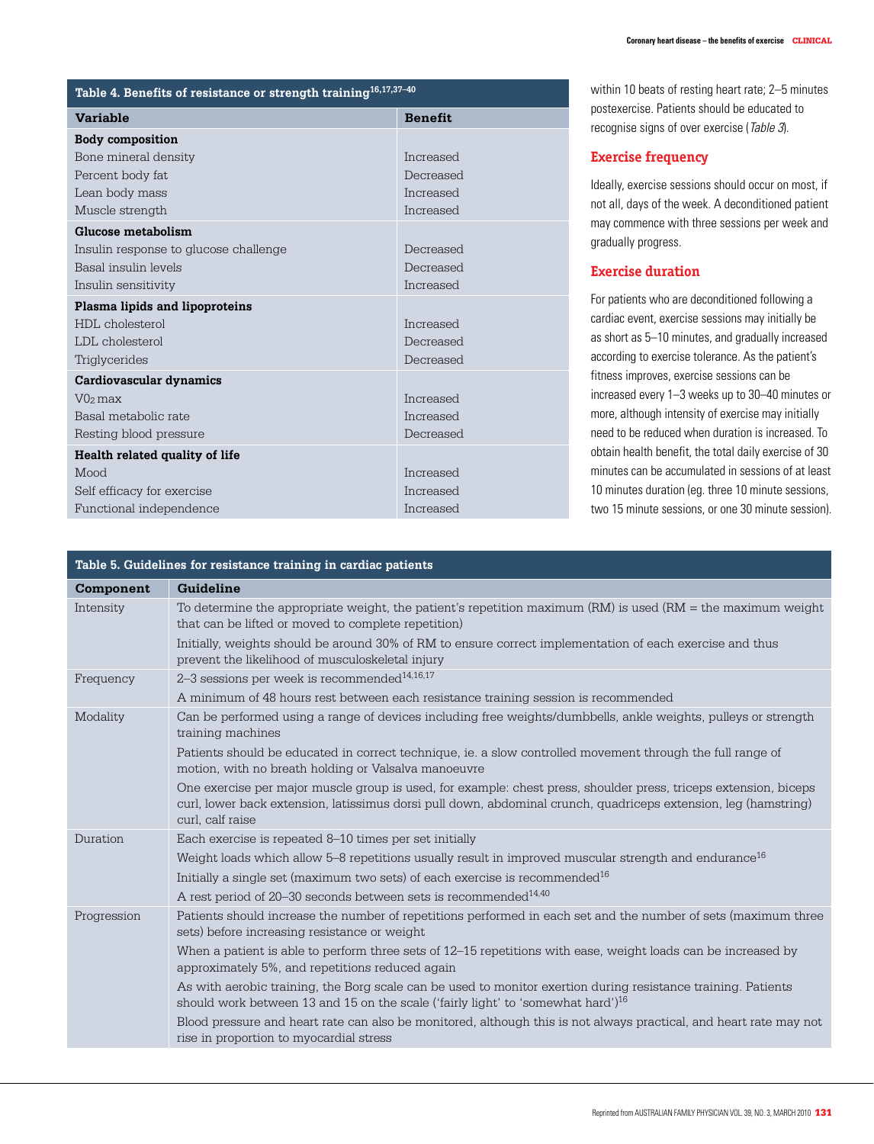| Table 4. Benefits of resistance or strength training $16,17,37-40$ |                  |  |
|--------------------------------------------------------------------|------------------|--|
| <b>Variable</b>                                                    | <b>Benefit</b>   |  |
| <b>Body composition</b>                                            |                  |  |
| Bone mineral density                                               | Increased        |  |
| Percent body fat                                                   | Decreased        |  |
| Lean body mass                                                     | Increased        |  |
| Muscle strength                                                    | Increased        |  |
| Glucose metabolism                                                 |                  |  |
| Insulin response to glucose challenge                              | Decreased        |  |
| Basal insulin levels                                               | Decreased        |  |
| Insulin sensitivity                                                | Increased        |  |
| Plasma lipids and lipoproteins                                     |                  |  |
| HDL cholesterol                                                    | Increased        |  |
| LDL cholesterol                                                    | Decreased        |  |
| Triglycerides                                                      | Decreased        |  |
| Cardiovascular dynamics                                            |                  |  |
| $V02$ max                                                          | <b>Increased</b> |  |
| Basal metabolic rate                                               | Increased        |  |
| Resting blood pressure                                             | Decreased        |  |
| Health related quality of life                                     |                  |  |
| Mood                                                               | Increased        |  |
| Self efficacy for exercise                                         | Increased        |  |
| Functional independence                                            | Increased        |  |

# within 10 beats of resting heart rate; 2–5 minutes postexercise. Patients should be educated to recognise signs of over exercise (Table 3).

# **Exercise frequency**

Ideally, exercise sessions should occur on most, if not all, days of the week. A deconditioned patient may commence with three sessions per week and gradually progress.

# **Exercise duration**

For patients who are deconditioned following a cardiac event, exercise sessions may initially be as short as 5–10 minutes, and gradually increased according to exercise tolerance. As the patient's fitness improves, exercise sessions can be increased every 1–3 weeks up to 30–40 minutes or more, although intensity of exercise may initially need to be reduced when duration is increased. To obtain health benefit, the total daily exercise of 30 minutes can be accumulated in sessions of at least 10 minutes duration (eg. three 10 minute sessions, two 15 minute sessions, or one 30 minute session).

| Table 5. Guidelines for resistance training in cardiac patients |                                                                                                                                                                                                                                                         |  |
|-----------------------------------------------------------------|---------------------------------------------------------------------------------------------------------------------------------------------------------------------------------------------------------------------------------------------------------|--|
| Component                                                       | Guideline                                                                                                                                                                                                                                               |  |
| Intensity                                                       | To determine the appropriate weight, the patient's repetition maximum $(RM)$ is used $(RM)$ = the maximum weight<br>that can be lifted or moved to complete repetition)                                                                                 |  |
|                                                                 | Initially, weights should be around 30% of RM to ensure correct implementation of each exercise and thus<br>prevent the likelihood of musculoskeletal injury                                                                                            |  |
| Frequency                                                       | 2-3 sessions per week is recommended <sup>14,16,17</sup>                                                                                                                                                                                                |  |
|                                                                 | A minimum of 48 hours rest between each resistance training session is recommended                                                                                                                                                                      |  |
| Modality                                                        | Can be performed using a range of devices including free weights/dumbbells, ankle weights, pulleys or strength<br>training machines                                                                                                                     |  |
|                                                                 | Patients should be educated in correct technique, ie. a slow controlled movement through the full range of<br>motion, with no breath holding or Valsalva manoeuvre                                                                                      |  |
|                                                                 | One exercise per major muscle group is used, for example: chest press, shoulder press, triceps extension, biceps<br>curl, lower back extension, latissimus dorsi pull down, abdominal crunch, quadriceps extension, leg (hamstring)<br>curl, calf raise |  |
| Duration                                                        | Each exercise is repeated 8–10 times per set initially                                                                                                                                                                                                  |  |
|                                                                 | Weight loads which allow 5–8 repetitions usually result in improved muscular strength and endurance <sup>16</sup>                                                                                                                                       |  |
|                                                                 | Initially a single set (maximum two sets) of each exercise is recommended <sup>16</sup>                                                                                                                                                                 |  |
|                                                                 | A rest period of 20-30 seconds between sets is recommended <sup>14,40</sup>                                                                                                                                                                             |  |
| Progression                                                     | Patients should increase the number of repetitions performed in each set and the number of sets (maximum three<br>sets) before increasing resistance or weight                                                                                          |  |
|                                                                 | When a patient is able to perform three sets of 12–15 repetitions with ease, weight loads can be increased by<br>approximately 5%, and repetitions reduced again                                                                                        |  |
|                                                                 | As with aerobic training, the Borg scale can be used to monitor exertion during resistance training. Patients<br>should work between 13 and 15 on the scale ('fairly light' to 'somewhat hard') <sup>16</sup>                                           |  |
|                                                                 | Blood pressure and heart rate can also be monitored, although this is not always practical, and heart rate may not<br>rise in proportion to myocardial stress                                                                                           |  |
|                                                                 |                                                                                                                                                                                                                                                         |  |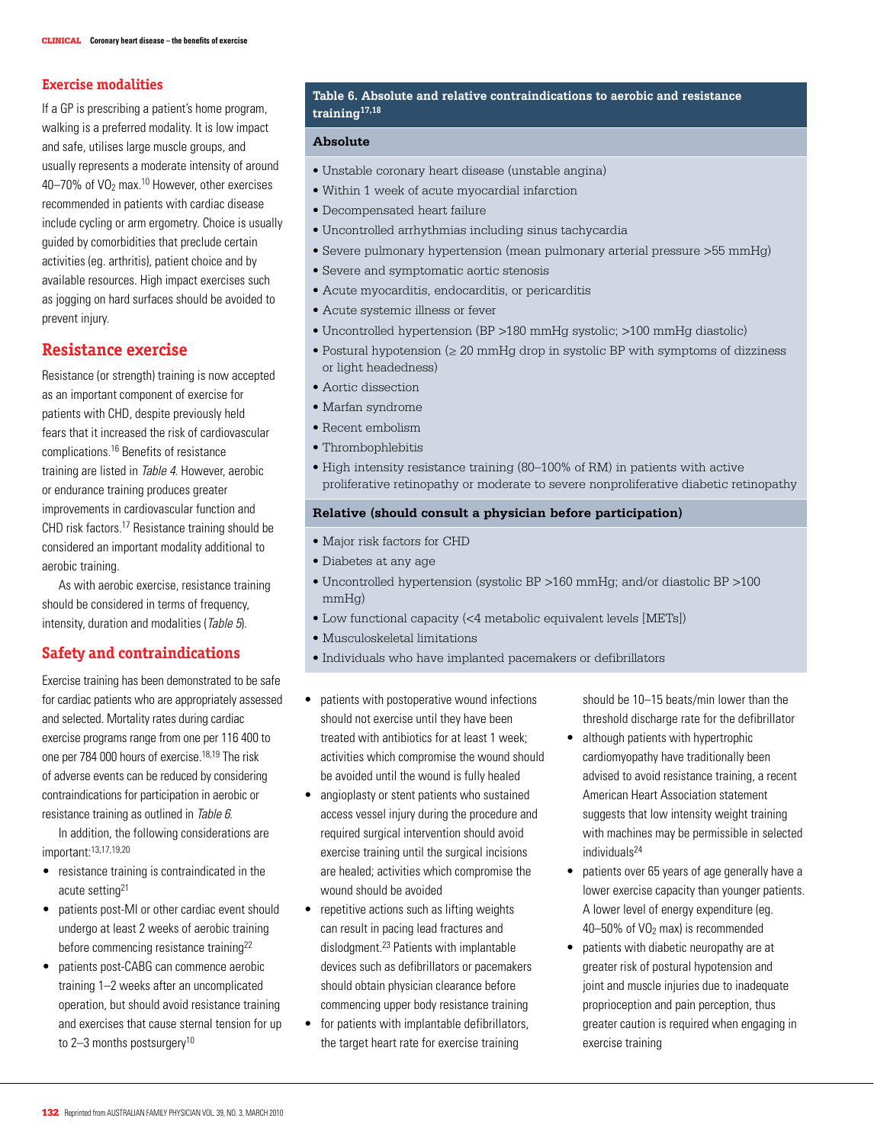# **Exercise modalities**

If a GP is prescribing a patient's home program, walking is a preferred modality. It is low impact and safe, utilises large muscle groups, and usually represents a moderate intensity of around 40–70% of VO2 max.10 However, other exercises recommended in patients with cardiac disease include cycling or arm ergometry. Choice is usually guided by comorbidities that preclude certain activities (eg. arthritis), patient choice and by available resources. High impact exercises such as jogging on hard surfaces should be avoided to prevent injury.

# **Resistance exercise**

Resistance (or strength) training is now accepted as an important component of exercise for patients with CHD, despite previously held fears that it increased the risk of cardiovascular complications.16 Benefits of resistance training are listed in Table 4. However, aerobic or endurance training produces greater improvements in cardiovascular function and CHD risk factors.17 Resistance training should be considered an important modality additional to aerobic training.

As with aerobic exercise, resistance training should be considered in terms of frequency, intensity, duration and modalities (Table 5).

# **Safety and contraindications**

Exercise training has been demonstrated to be safe for cardiac patients who are appropriately assessed and selected. Mortality rates during cardiac exercise programs range from one per 116 400 to one per 784 000 hours of exercise.18,19 The risk of adverse events can be reduced by considering contraindications for participation in aerobic or resistance training as outlined in Table 6.

 In addition, the following considerations are important:13,17,19,20

- • resistance training is contraindicated in the acute setting21
- patients post-MI or other cardiac event should undergo at least 2 weeks of aerobic training before commencing resistance training<sup>22</sup>
- patients post-CABG can commence aerobic training 1–2 weeks after an uncomplicated operation, but should avoid resistance training and exercises that cause sternal tension for up to  $2-3$  months postsurgery<sup>10</sup>

### **Table 6. Absolute and relative contraindications to aerobic and resistance training17,18**

#### **Absolute**

- Unstable coronary heart disease (unstable angina)
- Within 1 week of acute myocardial infarction
- Decompensated heart failure
- Uncontrolled arrhythmias including sinus tachycardia
- Severe pulmonary hypertension (mean pulmonary arterial pressure >55 mmHg)
- Severe and symptomatic aortic stenosis
- Acute myocarditis, endocarditis, or pericarditis
- Acute systemic illness or fever
- Uncontrolled hypertension (BP >180 mmHg systolic; >100 mmHg diastolic)
- Postural hypotension ( $\geq 20$  mmHg drop in systolic BP with symptoms of dizziness or light headedness)
- Aortic dissection
- Marfan syndrome
- Recent embolism
- Thrombophlebitis
- High intensity resistance training (80–100% of RM) in patients with active proliferative retinopathy or moderate to severe nonproliferative diabetic retinopathy

#### **Relative (should consult a physician before participation)**

- Major risk factors for CHD
- Diabetes at any age
- Uncontrolled hypertension (systolic BP >160 mmHg; and/or diastolic BP >100 mmHg)
- Low functional capacity (<4 metabolic equivalent levels [METs])
- Musculoskeletal limitations
- Individuals who have implanted pacemakers or defibrillators
- patients with postoperative wound infections should not exercise until they have been treated with antibiotics for at least 1 week; activities which compromise the wound should be avoided until the wound is fully healed
- angioplasty or stent patients who sustained access vessel injury during the procedure and required surgical intervention should avoid exercise training until the surgical incisions are healed; activities which compromise the wound should be avoided
- repetitive actions such as lifting weights can result in pacing lead fractures and dislodgment.23 Patients with implantable devices such as defibrillators or pacemakers should obtain physician clearance before commencing upper body resistance training
- for patients with implantable defibrillators, the target heart rate for exercise training

should be 10–15 beats/min lower than the threshold discharge rate for the defibrillator

- although patients with hypertrophic cardiomyopathy have traditionally been advised to avoid resistance training, a recent American Heart Association statement suggests that low intensity weight training with machines may be permissible in selected individuals24
- • patients over 65 years of age generally have a lower exercise capacity than younger patients. A lower level of energy expenditure (eg. 40–50% of VO2 max) is recommended
- patients with diabetic neuropathy are at greater risk of postural hypotension and joint and muscle injuries due to inadequate proprioception and pain perception, thus greater caution is required when engaging in exercise training